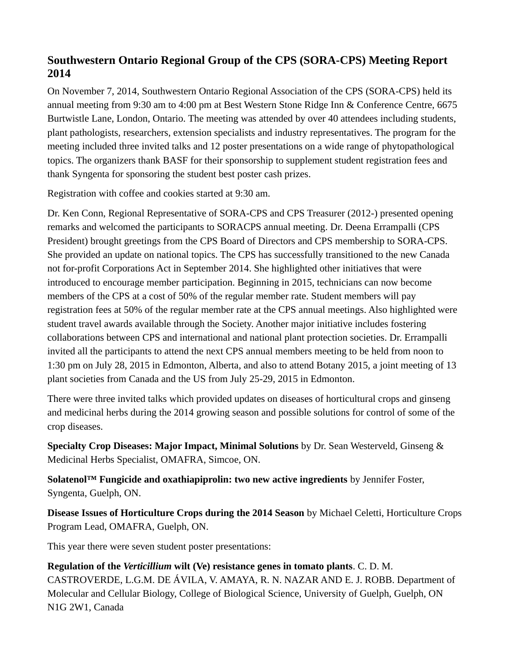## **Southwestern Ontario Regional Group of the CPS (SORA-CPS) Meeting Report 2014**

On November 7, 2014, Southwestern Ontario Regional Association of the CPS (SORA-CPS) held its annual meeting from 9:30 am to 4:00 pm at Best Western Stone Ridge Inn & Conference Centre, 6675 Burtwistle Lane, London, Ontario. The meeting was attended by over 40 attendees including students, plant pathologists, researchers, extension specialists and industry representatives. The program for the meeting included three invited talks and 12 poster presentations on a wide range of phytopathological topics. The organizers thank BASF for their sponsorship to supplement student registration fees and thank Syngenta for sponsoring the student best poster cash prizes.

Registration with coffee and cookies started at 9:30 am.

Dr. Ken Conn, Regional Representative of SORA-CPS and CPS Treasurer (2012-) presented opening remarks and welcomed the participants to SORACPS annual meeting. Dr. Deena Errampalli (CPS President) brought greetings from the CPS Board of Directors and CPS membership to SORA-CPS. She provided an update on national topics. The CPS has successfully transitioned to the new Canada not for-profit Corporations Act in September 2014. She highlighted other initiatives that were introduced to encourage member participation. Beginning in 2015, technicians can now become members of the CPS at a cost of 50% of the regular member rate. Student members will pay registration fees at 50% of the regular member rate at the CPS annual meetings. Also highlighted were student travel awards available through the Society. Another major initiative includes fostering collaborations between CPS and international and national plant protection societies. Dr. Errampalli invited all the participants to attend the next CPS annual members meeting to be held from noon to 1:30 pm on July 28, 2015 in Edmonton, Alberta, and also to attend Botany 2015, a joint meeting of 13 plant societies from Canada and the US from July 25-29, 2015 in Edmonton.

There were three invited talks which provided updates on diseases of horticultural crops and ginseng and medicinal herbs during the 2014 growing season and possible solutions for control of some of the crop diseases.

**Specialty Crop Diseases: Major Impact, Minimal Solutions** by Dr. Sean Westerveld, Ginseng & Medicinal Herbs Specialist, OMAFRA, Simcoe, ON.

**Solatenol™ Fungicide and oxathiapiprolin: two new active ingredients** by Jennifer Foster, Syngenta, Guelph, ON.

**Disease Issues of Horticulture Crops during the 2014 Season** by Michael Celetti, Horticulture Crops Program Lead, OMAFRA, Guelph, ON.

This year there were seven student poster presentations:

**Regulation of the** *Verticillium* **wilt (Ve) resistance genes in tomato plants**. C. D. M. CASTROVERDE, L.G.M. DE ÁVILA, V. AMAYA, R. N. NAZAR AND E. J. ROBB. Department of Molecular and Cellular Biology, College of Biological Science, University of Guelph, Guelph, ON N1G 2W1, Canada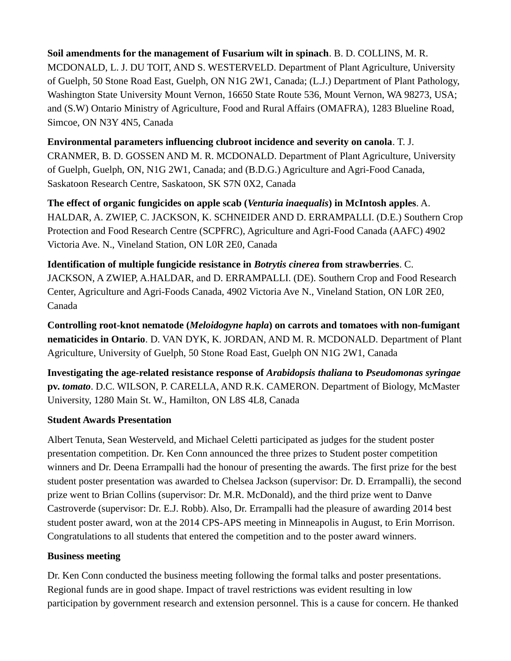**Soil amendments for the management of Fusarium wilt in spinach**. B. D. COLLINS, M. R. MCDONALD, L. J. DU TOIT, AND S. WESTERVELD. Department of Plant Agriculture, University of Guelph, 50 Stone Road East, Guelph, ON N1G 2W1, Canada; (L.J.) Department of Plant Pathology, Washington State University Mount Vernon, 16650 State Route 536, Mount Vernon, WA 98273, USA; and (S.W) Ontario Ministry of Agriculture, Food and Rural Affairs (OMAFRA), 1283 Blueline Road, Simcoe, ON N3Y 4N5, Canada

**Environmental parameters influencing clubroot incidence and severity on canola**. T. J. CRANMER, B. D. GOSSEN AND M. R. MCDONALD. Department of Plant Agriculture, University of Guelph, Guelph, ON, N1G 2W1, Canada; and (B.D.G.) Agriculture and Agri-Food Canada, Saskatoon Research Centre, Saskatoon, SK S7N 0X2, Canada

**The effect of organic fungicides on apple scab (***Venturia inaequalis***) in McIntosh apples**. A. HALDAR, A. ZWIEP, C. JACKSON, K. SCHNEIDER AND D. ERRAMPALLI. (D.E.) Southern Crop Protection and Food Research Centre (SCPFRC), Agriculture and Agri-Food Canada (AAFC) 4902 Victoria Ave. N., Vineland Station, ON L0R 2E0, Canada

**Identification of multiple fungicide resistance in** *Botrytis cinerea* **from strawberries**. C. JACKSON, A ZWIEP, A.HALDAR, and D. ERRAMPALLI. (DE). Southern Crop and Food Research Center, Agriculture and Agri-Foods Canada, 4902 Victoria Ave N., Vineland Station, ON L0R 2E0, Canada

**Controlling root-knot nematode (***Meloidogyne hapla***) on carrots and tomatoes with non-fumigant nematicides in Ontario**. D. VAN DYK, K. JORDAN, AND M. R. MCDONALD. Department of Plant Agriculture, University of Guelph, 50 Stone Road East, Guelph ON N1G 2W1, Canada

**Investigating the age-related resistance response of** *Arabidopsis thaliana* **to** *Pseudomonas syringae* **pv.** *tomato*. D.C. WILSON, P. CARELLA, AND R.K. CAMERON. Department of Biology, McMaster University, 1280 Main St. W., Hamilton, ON L8S 4L8, Canada

## **Student Awards Presentation**

Albert Tenuta, Sean Westerveld, and Michael Celetti participated as judges for the student poster presentation competition. Dr. Ken Conn announced the three prizes to Student poster competition winners and Dr. Deena Errampalli had the honour of presenting the awards. The first prize for the best student poster presentation was awarded to Chelsea Jackson (supervisor: Dr. D. Errampalli), the second prize went to Brian Collins (supervisor: Dr. M.R. McDonald), and the third prize went to Danve Castroverde (supervisor: Dr. E.J. Robb). Also, Dr. Errampalli had the pleasure of awarding 2014 best student poster award, won at the 2014 CPS-APS meeting in Minneapolis in August, to Erin Morrison. Congratulations to all students that entered the competition and to the poster award winners.

## **Business meeting**

Dr. Ken Conn conducted the business meeting following the formal talks and poster presentations. Regional funds are in good shape. Impact of travel restrictions was evident resulting in low participation by government research and extension personnel. This is a cause for concern. He thanked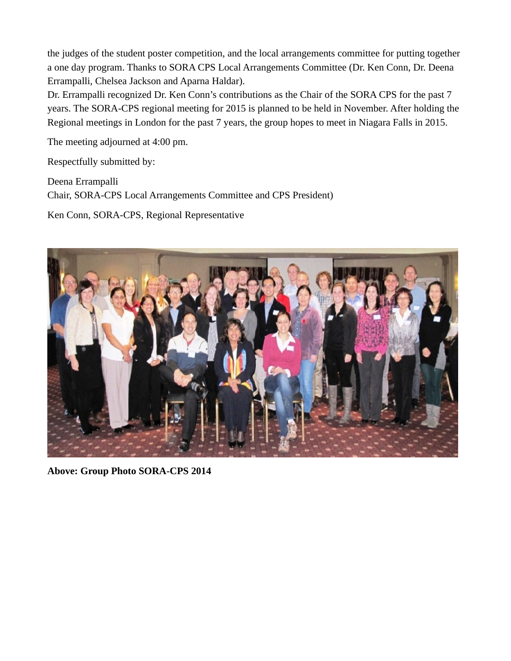the judges of the student poster competition, and the local arrangements committee for putting together a one day program. Thanks to SORA CPS Local Arrangements Committee (Dr. Ken Conn, Dr. Deena Errampalli, Chelsea Jackson and Aparna Haldar).

Dr. Errampalli recognized Dr. Ken Conn's contributions as the Chair of the SORA CPS for the past 7 years. The SORA-CPS regional meeting for 2015 is planned to be held in November. After holding the Regional meetings in London for the past 7 years, the group hopes to meet in Niagara Falls in 2015.

The meeting adjourned at 4:00 pm.

Respectfully submitted by:

Deena Errampalli Chair, SORA-CPS Local Arrangements Committee and CPS President)

Ken Conn, SORA-CPS, Regional Representative



**Above: Group Photo SORA-CPS 2014**